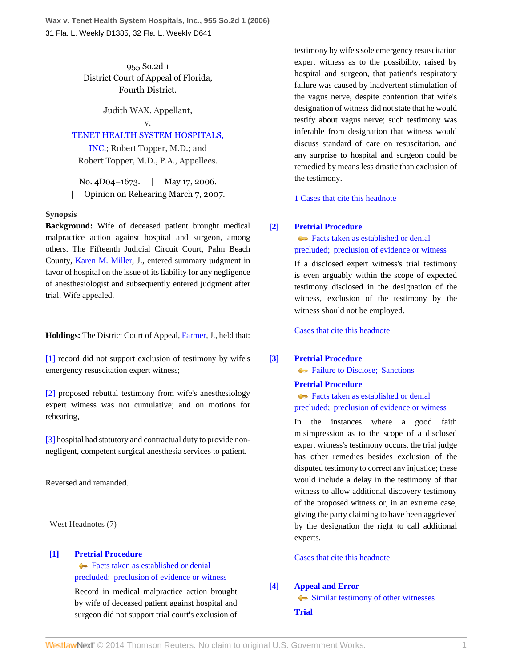955 So.2d 1 District Court of Appeal of Florida, Fourth District.

Judith WAX, Appellant,

# v.

[TENET HEALTH SYSTEM HOSPITALS,](http://www.westlaw.com/Search/Results.html?query=advanced%3a+OAID(5033721200)&saveJuris=False&contentType=BUSINESS-INVESTIGATOR&startIndex=1&contextData=(sc.Default)&categoryPageUrl=Home%2fCompanyInvestigator&originationContext=document&vr=3.0&rs=cblt1.0&transitionType=DocumentItem)

[INC.](http://www.westlaw.com/Search/Results.html?query=advanced%3a+OAID(5033721200)&saveJuris=False&contentType=BUSINESS-INVESTIGATOR&startIndex=1&contextData=(sc.Default)&categoryPageUrl=Home%2fCompanyInvestigator&originationContext=document&vr=3.0&rs=cblt1.0&transitionType=DocumentItem); Robert Topper, M.D.; and Robert Topper, M.D., P.A., Appellees.

No. 4D04–1673. | May 17, 2006. | Opinion on Rehearing March 7, 2007.

### **Synopsis**

**Background:** Wife of deceased patient brought medical malpractice action against hospital and surgeon, among others. The Fifteenth Judicial Circuit Court, Palm Beach County, [Karen M. Miller,](http://www.westlaw.com/Link/Document/FullText?findType=h&pubNum=176284&cite=0333543401&originatingDoc=I4a5d940fe5bc11dab3be92e40de4b42f&refType=RQ&originationContext=document&vr=3.0&rs=cblt1.0&transitionType=DocumentItem&contextData=(sc.Default)) J., entered summary judgment in favor of hospital on the issue of its liability for any negligence of anesthesiologist and subsequently entered judgment after trial. Wife appealed.

**Holdings:** The District Court of Appeal, [Farmer,](http://www.westlaw.com/Link/Document/FullText?findType=h&pubNum=176284&cite=0459173101&originatingDoc=I4a5d940fe5bc11dab3be92e40de4b42f&refType=RQ&originationContext=document&vr=3.0&rs=cblt1.0&transitionType=DocumentItem&contextData=(sc.Default)) J., held that:

[\[1\]](#page-0-0) record did not support exclusion of testimony by wife's emergency resuscitation expert witness;

[\[2\]](#page-0-1) proposed rebuttal testimony from wife's anesthesiology expert witness was not cumulative; and on motions for rehearing,

[\[3\]](#page-1-0) hospital had statutory and contractual duty to provide nonnegligent, competent surgical anesthesia services to patient.

Reversed and remanded.

West Headnotes (7)

## <span id="page-0-0"></span>**[\[1\]](#page-2-0) [Pretrial Procedure](http://www.westlaw.com/Browse/Home/KeyNumber/307A/View.html?docGuid=I4a5d940fe5bc11dab3be92e40de4b42f&originationContext=document&vr=3.0&rs=cblt1.0&transitionType=DocumentItem&contextData=(sc.Default))**

[Facts taken as established or denial](http://www.westlaw.com/Browse/Home/KeyNumber/307Ak45/View.html?docGuid=I4a5d940fe5bc11dab3be92e40de4b42f&originationContext=document&vr=3.0&rs=cblt1.0&transitionType=DocumentItem&contextData=(sc.Default)) [precluded; preclusion of evidence or witness](http://www.westlaw.com/Browse/Home/KeyNumber/307Ak45/View.html?docGuid=I4a5d940fe5bc11dab3be92e40de4b42f&originationContext=document&vr=3.0&rs=cblt1.0&transitionType=DocumentItem&contextData=(sc.Default))

Record in medical malpractice action brought by wife of deceased patient against hospital and surgeon did not support trial court's exclusion of testimony by wife's sole emergency resuscitation expert witness as to the possibility, raised by hospital and surgeon, that patient's respiratory failure was caused by inadvertent stimulation of the vagus nerve, despite contention that wife's designation of witness did not state that he would testify about vagus nerve; such testimony was inferable from designation that witness would discuss standard of care on resuscitation, and any surprise to hospital and surgeon could be remedied by means less drastic than exclusion of the testimony.

[1 Cases that cite this headnote](http://www.westlaw.com/Link/RelatedInformation/DocHeadnoteLink?docGuid=I4a5d940fe5bc11dab3be92e40de4b42f&headnoteId=200917018800120131027083813&originationContext=document&vr=3.0&rs=cblt1.0&transitionType=CitingReferences&contextData=(sc.Default))

## <span id="page-0-2"></span>**[\[2\]](#page-2-1) [Pretrial Procedure](http://www.westlaw.com/Browse/Home/KeyNumber/307A/View.html?docGuid=I4a5d940fe5bc11dab3be92e40de4b42f&originationContext=document&vr=3.0&rs=cblt1.0&transitionType=DocumentItem&contextData=(sc.Default))**

**[Facts taken as established or denial](http://www.westlaw.com/Browse/Home/KeyNumber/307Ak45/View.html?docGuid=I4a5d940fe5bc11dab3be92e40de4b42f&originationContext=document&vr=3.0&rs=cblt1.0&transitionType=DocumentItem&contextData=(sc.Default))** [precluded; preclusion of evidence or witness](http://www.westlaw.com/Browse/Home/KeyNumber/307Ak45/View.html?docGuid=I4a5d940fe5bc11dab3be92e40de4b42f&originationContext=document&vr=3.0&rs=cblt1.0&transitionType=DocumentItem&contextData=(sc.Default))

If a disclosed expert witness's trial testimony is even arguably within the scope of expected testimony disclosed in the designation of the witness, exclusion of the testimony by the witness should not be employed.

[Cases that cite this headnote](http://www.westlaw.com/Link/RelatedInformation/DocHeadnoteLink?docGuid=I4a5d940fe5bc11dab3be92e40de4b42f&headnoteId=200917018800220131027083813&originationContext=document&vr=3.0&rs=cblt1.0&transitionType=CitingReferences&contextData=(sc.Default))

## <span id="page-0-3"></span>**[\[3\]](#page-2-2) [Pretrial Procedure](http://www.westlaw.com/Browse/Home/KeyNumber/307A/View.html?docGuid=I4a5d940fe5bc11dab3be92e40de4b42f&originationContext=document&vr=3.0&rs=cblt1.0&transitionType=DocumentItem&contextData=(sc.Default))**

**Failure to Disclose: Sanctions** 

# **[Pretrial Procedure](http://www.westlaw.com/Browse/Home/KeyNumber/307A/View.html?docGuid=I4a5d940fe5bc11dab3be92e40de4b42f&originationContext=document&vr=3.0&rs=cblt1.0&transitionType=DocumentItem&contextData=(sc.Default))**

[Facts taken as established or denial](http://www.westlaw.com/Browse/Home/KeyNumber/307Ak45/View.html?docGuid=I4a5d940fe5bc11dab3be92e40de4b42f&originationContext=document&vr=3.0&rs=cblt1.0&transitionType=DocumentItem&contextData=(sc.Default)) [precluded; preclusion of evidence or witness](http://www.westlaw.com/Browse/Home/KeyNumber/307Ak45/View.html?docGuid=I4a5d940fe5bc11dab3be92e40de4b42f&originationContext=document&vr=3.0&rs=cblt1.0&transitionType=DocumentItem&contextData=(sc.Default))

In the instances where a good faith misimpression as to the scope of a disclosed expert witness's testimony occurs, the trial judge has other remedies besides exclusion of the disputed testimony to correct any injustice; these would include a delay in the testimony of that witness to allow additional discovery testimony of the proposed witness or, in an extreme case, giving the party claiming to have been aggrieved by the designation the right to call additional experts.

## [Cases that cite this headnote](http://www.westlaw.com/Link/RelatedInformation/DocHeadnoteLink?docGuid=I4a5d940fe5bc11dab3be92e40de4b42f&headnoteId=200917018800320131027083813&originationContext=document&vr=3.0&rs=cblt1.0&transitionType=CitingReferences&contextData=(sc.Default))

# <span id="page-0-1"></span>**[\[4\]](#page-2-3) [Appeal and Error](http://www.westlaw.com/Browse/Home/KeyNumber/30/View.html?docGuid=I4a5d940fe5bc11dab3be92e40de4b42f&originationContext=document&vr=3.0&rs=cblt1.0&transitionType=DocumentItem&contextData=(sc.Default))**

 $\blacklozenge$  [Similar testimony of other witnesses](http://www.westlaw.com/Browse/Home/KeyNumber/30k1058(3)/View.html?docGuid=I4a5d940fe5bc11dab3be92e40de4b42f&originationContext=document&vr=3.0&rs=cblt1.0&transitionType=DocumentItem&contextData=(sc.Default)) **[Trial](http://www.westlaw.com/Browse/Home/KeyNumber/388/View.html?docGuid=I4a5d940fe5bc11dab3be92e40de4b42f&originationContext=document&vr=3.0&rs=cblt1.0&transitionType=DocumentItem&contextData=(sc.Default))**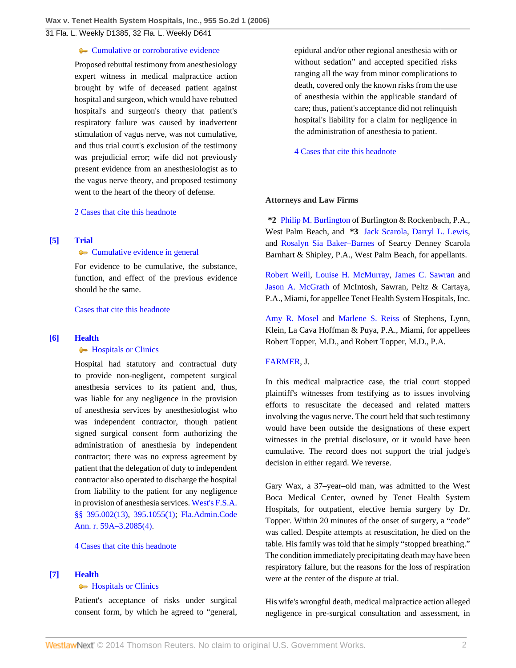#### **[Cumulative or corroborative evidence](http://www.westlaw.com/Browse/Home/KeyNumber/388k63(3)/View.html?docGuid=I4a5d940fe5bc11dab3be92e40de4b42f&originationContext=document&vr=3.0&rs=cblt1.0&transitionType=DocumentItem&contextData=(sc.Default))**

Proposed rebuttal testimony from anesthesiology expert witness in medical malpractice action brought by wife of deceased patient against hospital and surgeon, which would have rebutted hospital's and surgeon's theory that patient's respiratory failure was caused by inadvertent stimulation of vagus nerve, was not cumulative, and thus trial court's exclusion of the testimony was prejudicial error; wife did not previously present evidence from an anesthesiologist as to the vagus nerve theory, and proposed testimony went to the heart of the theory of defense.

[2 Cases that cite this headnote](http://www.westlaw.com/Link/RelatedInformation/DocHeadnoteLink?docGuid=I4a5d940fe5bc11dab3be92e40de4b42f&headnoteId=200917018800420131027083813&originationContext=document&vr=3.0&rs=cblt1.0&transitionType=CitingReferences&contextData=(sc.Default))

### <span id="page-1-1"></span>**[\[5\]](#page-3-0) [Trial](http://www.westlaw.com/Browse/Home/KeyNumber/388/View.html?docGuid=I4a5d940fe5bc11dab3be92e40de4b42f&originationContext=document&vr=3.0&rs=cblt1.0&transitionType=DocumentItem&contextData=(sc.Default))**

**[Cumulative evidence in general](http://www.westlaw.com/Browse/Home/KeyNumber/388k56/View.html?docGuid=I4a5d940fe5bc11dab3be92e40de4b42f&originationContext=document&vr=3.0&rs=cblt1.0&transitionType=DocumentItem&contextData=(sc.Default))** 

For evidence to be cumulative, the substance, function, and effect of the previous evidence should be the same.

[Cases that cite this headnote](http://www.westlaw.com/Link/RelatedInformation/DocHeadnoteLink?docGuid=I4a5d940fe5bc11dab3be92e40de4b42f&headnoteId=200917018800520131027083813&originationContext=document&vr=3.0&rs=cblt1.0&transitionType=CitingReferences&contextData=(sc.Default))

#### <span id="page-1-0"></span>**[\[6\]](#page-4-0) [Health](http://www.westlaw.com/Browse/Home/KeyNumber/198H/View.html?docGuid=I4a5d940fe5bc11dab3be92e40de4b42f&originationContext=document&vr=3.0&rs=cblt1.0&transitionType=DocumentItem&contextData=(sc.Default))**

#### **[Hospitals or Clinics](http://www.westlaw.com/Browse/Home/KeyNumber/198Hk781/View.html?docGuid=I4a5d940fe5bc11dab3be92e40de4b42f&originationContext=document&vr=3.0&rs=cblt1.0&transitionType=DocumentItem&contextData=(sc.Default))**

Hospital had statutory and contractual duty to provide non-negligent, competent surgical anesthesia services to its patient and, thus, was liable for any negligence in the provision of anesthesia services by anesthesiologist who was independent contractor, though patient signed surgical consent form authorizing the administration of anesthesia by independent contractor; there was no express agreement by patient that the delegation of duty to independent contractor also operated to discharge the hospital from liability to the patient for any negligence in provision of anesthesia services. [West's F.S.A.](http://www.westlaw.com/Link/Document/FullText?findType=L&pubNum=1000006&cite=FLSTS395.002&originatingDoc=I4a5d940fe5bc11dab3be92e40de4b42f&refType=SP&originationContext=document&vr=3.0&rs=cblt1.0&transitionType=DocumentItem&contextData=(sc.Default)#co_pp_aac5000007ec7) [§§ 395.002\(13\),](http://www.westlaw.com/Link/Document/FullText?findType=L&pubNum=1000006&cite=FLSTS395.002&originatingDoc=I4a5d940fe5bc11dab3be92e40de4b42f&refType=SP&originationContext=document&vr=3.0&rs=cblt1.0&transitionType=DocumentItem&contextData=(sc.Default)#co_pp_aac5000007ec7) [395.1055\(1\);](http://www.westlaw.com/Link/Document/FullText?findType=L&pubNum=1000006&cite=FLSTS395.1055&originatingDoc=I4a5d940fe5bc11dab3be92e40de4b42f&refType=SP&originationContext=document&vr=3.0&rs=cblt1.0&transitionType=DocumentItem&contextData=(sc.Default)#co_pp_f1c50000821b0) [Fla.Admin.Code](http://www.westlaw.com/Link/Document/FullText?findType=L&pubNum=1000742&cite=59FLADC59A-3.2085&originatingDoc=I4a5d940fe5bc11dab3be92e40de4b42f&refType=LQ&originationContext=document&vr=3.0&rs=cblt1.0&transitionType=DocumentItem&contextData=(sc.Default)) [Ann. r. 59A–3.2085\(4\)](http://www.westlaw.com/Link/Document/FullText?findType=L&pubNum=1000742&cite=59FLADC59A-3.2085&originatingDoc=I4a5d940fe5bc11dab3be92e40de4b42f&refType=LQ&originationContext=document&vr=3.0&rs=cblt1.0&transitionType=DocumentItem&contextData=(sc.Default)).

[4 Cases that cite this headnote](http://www.westlaw.com/Link/RelatedInformation/DocHeadnoteLink?docGuid=I4a5d940fe5bc11dab3be92e40de4b42f&headnoteId=200917018800620131027083813&originationContext=document&vr=3.0&rs=cblt1.0&transitionType=CitingReferences&contextData=(sc.Default))

### <span id="page-1-2"></span>**[\[7\]](#page-6-0) [Health](http://www.westlaw.com/Browse/Home/KeyNumber/198H/View.html?docGuid=I4a5d940fe5bc11dab3be92e40de4b42f&originationContext=document&vr=3.0&rs=cblt1.0&transitionType=DocumentItem&contextData=(sc.Default))**

#### **[Hospitals or Clinics](http://www.westlaw.com/Browse/Home/KeyNumber/198Hk781/View.html?docGuid=I4a5d940fe5bc11dab3be92e40de4b42f&originationContext=document&vr=3.0&rs=cblt1.0&transitionType=DocumentItem&contextData=(sc.Default))**

Patient's acceptance of risks under surgical consent form, by which he agreed to "general, epidural and/or other regional anesthesia with or without sedation" and accepted specified risks ranging all the way from minor complications to death, covered only the known risks from the use of anesthesia within the applicable standard of care; thus, patient's acceptance did not relinquish hospital's liability for a claim for negligence in the administration of anesthesia to patient.

[4 Cases that cite this headnote](http://www.westlaw.com/Link/RelatedInformation/DocHeadnoteLink?docGuid=I4a5d940fe5bc11dab3be92e40de4b42f&headnoteId=200917018800720131027083813&originationContext=document&vr=3.0&rs=cblt1.0&transitionType=CitingReferences&contextData=(sc.Default))

#### **Attorneys and Law Firms**

**\*2** [Philip M. Burlington](http://www.westlaw.com/Link/Document/FullText?findType=h&pubNum=176284&cite=0202157501&originatingDoc=I4a5d940fe5bc11dab3be92e40de4b42f&refType=RQ&originationContext=document&vr=3.0&rs=cblt1.0&transitionType=DocumentItem&contextData=(sc.Default)) of Burlington & Rockenbach, P.A., West Palm Beach, and **\*3** [Jack Scarola](http://www.westlaw.com/Link/Document/FullText?findType=h&pubNum=176284&cite=0179252301&originatingDoc=I4a5d940fe5bc11dab3be92e40de4b42f&refType=RQ&originationContext=document&vr=3.0&rs=cblt1.0&transitionType=DocumentItem&contextData=(sc.Default)), [Darryl L. Lewis](http://www.westlaw.com/Link/Document/FullText?findType=h&pubNum=176284&cite=0196958601&originatingDoc=I4a5d940fe5bc11dab3be92e40de4b42f&refType=RQ&originationContext=document&vr=3.0&rs=cblt1.0&transitionType=DocumentItem&contextData=(sc.Default)), and [Rosalyn Sia Baker–Barnes](http://www.westlaw.com/Link/Document/FullText?findType=h&pubNum=176284&cite=0387993301&originatingDoc=I4a5d940fe5bc11dab3be92e40de4b42f&refType=RQ&originationContext=document&vr=3.0&rs=cblt1.0&transitionType=DocumentItem&contextData=(sc.Default)) of Searcy Denney Scarola Barnhart & Shipley, P.A., West Palm Beach, for appellants.

[Robert Weill](http://www.westlaw.com/Link/Document/FullText?findType=h&pubNum=176284&cite=0338524101&originatingDoc=I4a5d940fe5bc11dab3be92e40de4b42f&refType=RQ&originationContext=document&vr=3.0&rs=cblt1.0&transitionType=DocumentItem&contextData=(sc.Default)), [Louise H. McMurray](http://www.westlaw.com/Link/Document/FullText?findType=h&pubNum=176284&cite=0276900701&originatingDoc=I4a5d940fe5bc11dab3be92e40de4b42f&refType=RQ&originationContext=document&vr=3.0&rs=cblt1.0&transitionType=DocumentItem&contextData=(sc.Default)), [James C. Sawran](http://www.westlaw.com/Link/Document/FullText?findType=h&pubNum=176284&cite=0142160801&originatingDoc=I4a5d940fe5bc11dab3be92e40de4b42f&refType=RQ&originationContext=document&vr=3.0&rs=cblt1.0&transitionType=DocumentItem&contextData=(sc.Default)) and [Jason A. McGrath](http://www.westlaw.com/Link/Document/FullText?findType=h&pubNum=176284&cite=0297585601&originatingDoc=I4a5d940fe5bc11dab3be92e40de4b42f&refType=RQ&originationContext=document&vr=3.0&rs=cblt1.0&transitionType=DocumentItem&contextData=(sc.Default)) of McIntosh, Sawran, Peltz & Cartaya, P.A., Miami, for appellee Tenet Health System Hospitals, Inc.

[Amy R. Mosel](http://www.westlaw.com/Link/Document/FullText?findType=h&pubNum=176284&cite=0325970601&originatingDoc=I4a5d940fe5bc11dab3be92e40de4b42f&refType=RQ&originationContext=document&vr=3.0&rs=cblt1.0&transitionType=DocumentItem&contextData=(sc.Default)) and [Marlene S. Reiss](http://www.westlaw.com/Link/Document/FullText?findType=h&pubNum=176284&cite=0139566601&originatingDoc=I4a5d940fe5bc11dab3be92e40de4b42f&refType=RQ&originationContext=document&vr=3.0&rs=cblt1.0&transitionType=DocumentItem&contextData=(sc.Default)) of Stephens, Lynn, Klein, La Cava Hoffman & Puya, P.A., Miami, for appellees Robert Topper, M.D., and Robert Topper, M.D., P.A.

#### [FARMER](http://www.westlaw.com/Link/Document/FullText?findType=h&pubNum=176284&cite=0459173101&originatingDoc=I4a5d940fe5bc11dab3be92e40de4b42f&refType=RQ&originationContext=document&vr=3.0&rs=cblt1.0&transitionType=DocumentItem&contextData=(sc.Default)), J.

In this medical malpractice case, the trial court stopped plaintiff's witnesses from testifying as to issues involving efforts to resuscitate the deceased and related matters involving the vagus nerve. The court held that such testimony would have been outside the designations of these expert witnesses in the pretrial disclosure, or it would have been cumulative. The record does not support the trial judge's decision in either regard. We reverse.

Gary Wax, a 37–year–old man, was admitted to the West Boca Medical Center, owned by Tenet Health System Hospitals, for outpatient, elective hernia surgery by Dr. Topper. Within 20 minutes of the onset of surgery, a "code" was called. Despite attempts at resuscitation, he died on the table. His family was told that he simply "stopped breathing." The condition immediately precipitating death may have been respiratory failure, but the reasons for the loss of respiration were at the center of the dispute at trial.

His wife's wrongful death, medical malpractice action alleged negligence in pre-surgical consultation and assessment, in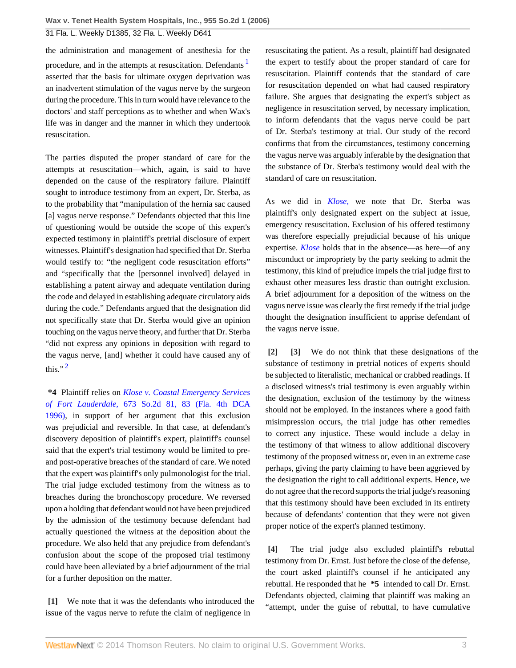the administration and management of anesthesia for the procedure, and in the attempts at resuscitation. Defendants asserted that the basis for ultimate oxygen deprivation was an inadvertent stimulation of the vagus nerve by the surgeon during the procedure. This in turn would have relevance to the doctors' and staff perceptions as to whether and when Wax's life was in danger and the manner in which they undertook resuscitation.

The parties disputed the proper standard of care for the attempts at resuscitation—which, again, is said to have depended on the cause of the respiratory failure. Plaintiff sought to introduce testimony from an expert, Dr. Sterba, as to the probability that "manipulation of the hernia sac caused [a] vagus nerve response." Defendants objected that this line of questioning would be outside the scope of this expert's expected testimony in plaintiff's pretrial disclosure of expert witnesses. Plaintiff's designation had specified that Dr. Sterba would testify to: "the negligent code resuscitation efforts" and "specifically that the [personnel involved] delayed in establishing a patent airway and adequate ventilation during the code and delayed in establishing adequate circulatory aids during the code." Defendants argued that the designation did not specifically state that Dr. Sterba would give an opinion touching on the vagus nerve theory, and further that Dr. Sterba "did not express any opinions in deposition with regard to the vagus nerve, [and] whether it could have caused any of this."<sup>[2](#page-7-1)</sup>

<span id="page-2-5"></span>**\*4** Plaintiff relies on *[Klose v. Coastal Emergency Services](http://www.westlaw.com/Link/Document/FullText?findType=Y&serNum=1996088921&pubNum=735&fi=co_pp_sp_735_83&originationContext=document&vr=3.0&rs=cblt1.0&transitionType=DocumentItem&contextData=(sc.Default)#co_pp_sp_735_83) of Fort Lauderdale,* [673 So.2d 81, 83 \(Fla. 4th DCA](http://www.westlaw.com/Link/Document/FullText?findType=Y&serNum=1996088921&pubNum=735&fi=co_pp_sp_735_83&originationContext=document&vr=3.0&rs=cblt1.0&transitionType=DocumentItem&contextData=(sc.Default)#co_pp_sp_735_83) [1996\)](http://www.westlaw.com/Link/Document/FullText?findType=Y&serNum=1996088921&pubNum=735&fi=co_pp_sp_735_83&originationContext=document&vr=3.0&rs=cblt1.0&transitionType=DocumentItem&contextData=(sc.Default)#co_pp_sp_735_83), in support of her argument that this exclusion was prejudicial and reversible. In that case, at defendant's discovery deposition of plaintiff's expert, plaintiff's counsel said that the expert's trial testimony would be limited to preand post-operative breaches of the standard of care. We noted that the expert was plaintiff's only pulmonologist for the trial. The trial judge excluded testimony from the witness as to breaches during the bronchoscopy procedure. We reversed upon a holding that defendant would not have been prejudiced by the admission of the testimony because defendant had actually questioned the witness at the deposition about the procedure. We also held that any prejudice from defendant's confusion about the scope of the proposed trial testimony could have been alleviated by a brief adjournment of the trial for a further deposition on the matter.

<span id="page-2-0"></span>**[\[1\]](#page-0-0)** We note that it was the defendants who introduced the issue of the vagus nerve to refute the claim of negligence in

<span id="page-2-4"></span>resuscitating the patient. As a result, plaintiff had designated the expert to testify about the proper standard of care for resuscitation. Plaintiff contends that the standard of care for resuscitation depended on what had caused respiratory failure. She argues that designating the expert's subject as negligence in resuscitation served, by necessary implication, to inform defendants that the vagus nerve could be part of Dr. Sterba's testimony at trial. Our study of the record confirms that from the circumstances, testimony concerning the vagus nerve was arguably inferable by the designation that the substance of Dr. Sterba's testimony would deal with the standard of care on resuscitation.

As we did in *[Klose,](http://www.westlaw.com/Link/Document/FullText?findType=Y&serNum=1996088921&originationContext=document&vr=3.0&rs=cblt1.0&transitionType=DocumentItem&contextData=(sc.Default))* we note that Dr. Sterba was plaintiff's only designated expert on the subject at issue, emergency resuscitation. Exclusion of his offered testimony was therefore especially prejudicial because of his unique expertise. *[Klose](http://www.westlaw.com/Link/Document/FullText?findType=Y&serNum=1996088921&originationContext=document&vr=3.0&rs=cblt1.0&transitionType=DocumentItem&contextData=(sc.Default))* holds that in the absence—as here—of any misconduct or impropriety by the party seeking to admit the testimony, this kind of prejudice impels the trial judge first to exhaust other measures less drastic than outright exclusion. A brief adjournment for a deposition of the witness on the vagus nerve issue was clearly the first remedy if the trial judge thought the designation insufficient to apprise defendant of the vagus nerve issue.

<span id="page-2-2"></span><span id="page-2-1"></span>**[\[2\]](#page-0-2) [\[3\]](#page-0-3)** We do not think that these designations of the substance of testimony in pretrial notices of experts should be subjected to literalistic, mechanical or crabbed readings. If a disclosed witness's trial testimony is even arguably within the designation, exclusion of the testimony by the witness should not be employed. In the instances where a good faith misimpression occurs, the trial judge has other remedies to correct any injustice. These would include a delay in the testimony of that witness to allow additional discovery testimony of the proposed witness or, even in an extreme case perhaps, giving the party claiming to have been aggrieved by the designation the right to call additional experts. Hence, we do not agree that the record supports the trial judge's reasoning that this testimony should have been excluded in its entirety because of defendants' contention that they were not given proper notice of the expert's planned testimony.

<span id="page-2-3"></span>**[\[4\]](#page-0-1)** The trial judge also excluded plaintiff's rebuttal testimony from Dr. Ernst. Just before the close of the defense, the court asked plaintiff's counsel if he anticipated any rebuttal. He responded that he **\*5** intended to call Dr. Ernst. Defendants objected, claiming that plaintiff was making an "attempt, under the guise of rebuttal, to have cumulative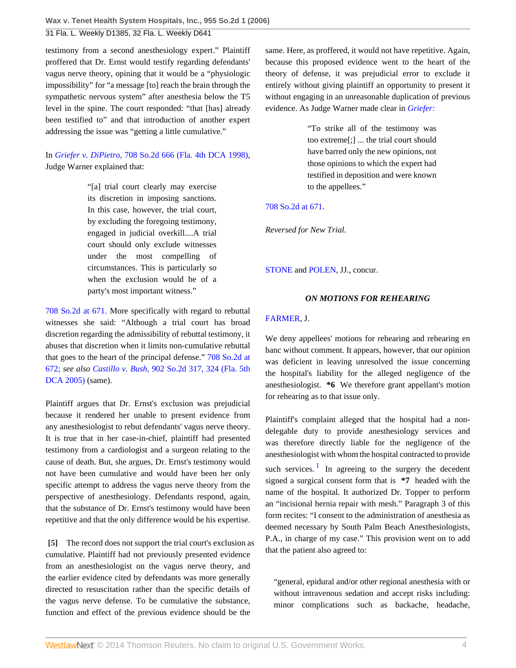testimony from a second anesthesiology expert." Plaintiff proffered that Dr. Ernst would testify regarding defendants' vagus nerve theory, opining that it would be a "physiologic impossibility" for "a message [to] reach the brain through the sympathetic nervous system" after anesthesia below the T5 level in the spine. The court responded: "that [has] already been testified to" and that introduction of another expert addressing the issue was "getting a little cumulative."

# In *Griefer v. DiPietro,* [708 So.2d 666 \(Fla. 4th DCA 1998\)](http://www.westlaw.com/Link/Document/FullText?findType=Y&serNum=1998083759&pubNum=735&originationContext=document&vr=3.0&rs=cblt1.0&transitionType=DocumentItem&contextData=(sc.Default)), Judge Warner explained that:

"[a] trial court clearly may exercise its discretion in imposing sanctions. In this case, however, the trial court, by excluding the foregoing testimony, engaged in judicial overkill....A trial court should only exclude witnesses under the most compelling of circumstances. This is particularly so when the exclusion would be of a party's most important witness."

[708 So.2d at 671.](http://www.westlaw.com/Link/Document/FullText?findType=Y&serNum=1998083759&pubNum=735&fi=co_pp_sp_735_671&originationContext=document&vr=3.0&rs=cblt1.0&transitionType=DocumentItem&contextData=(sc.Default)#co_pp_sp_735_671) More specifically with regard to rebuttal witnesses she said: "Although a trial court has broad discretion regarding the admissibility of rebuttal testimony, it abuses that discretion when it limits non-cumulative rebuttal that goes to the heart of the principal defense." [708 So.2d at](http://www.westlaw.com/Link/Document/FullText?findType=Y&serNum=1998083759&pubNum=735&fi=co_pp_sp_735_672&originationContext=document&vr=3.0&rs=cblt1.0&transitionType=DocumentItem&contextData=(sc.Default)#co_pp_sp_735_672) [672;](http://www.westlaw.com/Link/Document/FullText?findType=Y&serNum=1998083759&pubNum=735&fi=co_pp_sp_735_672&originationContext=document&vr=3.0&rs=cblt1.0&transitionType=DocumentItem&contextData=(sc.Default)#co_pp_sp_735_672) *see also Castillo v. Bush,* [902 So.2d 317, 324 \(Fla. 5th](http://www.westlaw.com/Link/Document/FullText?findType=Y&serNum=2006678730&pubNum=735&fi=co_pp_sp_735_324&originationContext=document&vr=3.0&rs=cblt1.0&transitionType=DocumentItem&contextData=(sc.Default)#co_pp_sp_735_324) [DCA 2005\)](http://www.westlaw.com/Link/Document/FullText?findType=Y&serNum=2006678730&pubNum=735&fi=co_pp_sp_735_324&originationContext=document&vr=3.0&rs=cblt1.0&transitionType=DocumentItem&contextData=(sc.Default)#co_pp_sp_735_324) (same).

Plaintiff argues that Dr. Ernst's exclusion was prejudicial because it rendered her unable to present evidence from any anesthesiologist to rebut defendants' vagus nerve theory. It is true that in her case-in-chief, plaintiff had presented testimony from a cardiologist and a surgeon relating to the cause of death. But, she argues, Dr. Ernst's testimony would not have been cumulative and would have been her only specific attempt to address the vagus nerve theory from the perspective of anesthesiology. Defendants respond, again, that the substance of Dr. Ernst's testimony would have been repetitive and that the only difference would be his expertise.

<span id="page-3-0"></span>**[\[5\]](#page-1-1)** The record does not support the trial court's exclusion as cumulative. Plaintiff had not previously presented evidence from an anesthesiologist on the vagus nerve theory, and the earlier evidence cited by defendants was more generally directed to resuscitation rather than the specific details of the vagus nerve defense. To be cumulative the substance, function and effect of the previous evidence should be the

same. Here, as proffered, it would not have repetitive. Again, because this proposed evidence went to the heart of the theory of defense, it was prejudicial error to exclude it entirely without giving plaintiff an opportunity to present it without engaging in an unreasonable duplication of previous evidence. As Judge Warner made clear in *[Griefer:](http://www.westlaw.com/Link/Document/FullText?findType=Y&serNum=1998083759&originationContext=document&vr=3.0&rs=cblt1.0&transitionType=DocumentItem&contextData=(sc.Default))*

> "To strike all of the testimony was too extreme[;] ... the trial court should have barred only the new opinions, not those opinions to which the expert had testified in deposition and were known to the appellees."

## [708 So.2d at 671.](http://www.westlaw.com/Link/Document/FullText?findType=Y&serNum=1998083759&pubNum=735&fi=co_pp_sp_735_671&originationContext=document&vr=3.0&rs=cblt1.0&transitionType=DocumentItem&contextData=(sc.Default)#co_pp_sp_735_671)

*Reversed for New Trial.*

[STONE](http://www.westlaw.com/Link/Document/FullText?findType=h&pubNum=176284&cite=0459177201&originatingDoc=I4a5d940fe5bc11dab3be92e40de4b42f&refType=RQ&originationContext=document&vr=3.0&rs=cblt1.0&transitionType=DocumentItem&contextData=(sc.Default)) and [POLEN,](http://www.westlaw.com/Link/Document/FullText?findType=h&pubNum=176284&cite=0459225101&originatingDoc=I4a5d940fe5bc11dab3be92e40de4b42f&refType=RQ&originationContext=document&vr=3.0&rs=cblt1.0&transitionType=DocumentItem&contextData=(sc.Default)) JJ., concur.

## *ON MOTIONS FOR REHEARING*

### [FARMER](http://www.westlaw.com/Link/Document/FullText?findType=h&pubNum=176284&cite=0459173101&originatingDoc=I4a5d940fe5bc11dab3be92e40de4b42f&refType=RQ&originationContext=document&vr=3.0&rs=cblt1.0&transitionType=DocumentItem&contextData=(sc.Default)), J.

We deny appellees' motions for rehearing and rehearing en banc without comment. It appears, however, that our opinion was deficient in leaving unresolved the issue concerning the hospital's liability for the alleged negligence of the anesthesiologist. **\*6** We therefore grant appellant's motion for rehearing as to that issue only.

<span id="page-3-1"></span>Plaintiff's complaint alleged that the hospital had a nondelegable duty to provide anesthesiology services and was therefore directly liable for the negligence of the anesthesiologist with whom the hospital contracted to provide such services.<sup>[1](#page-7-2)</sup> In agreeing to the surgery the decedent signed a surgical consent form that is **\*7** headed with the name of the hospital. It authorized Dr. Topper to perform an "incisional hernia repair with mesh." Paragraph 3 of this form recites: "I consent to the administration of anesthesia as deemed necessary by South Palm Beach Anesthesiologists, P.A., in charge of my case." This provision went on to add that the patient also agreed to:

"general, epidural and/or other regional anesthesia with or without intravenous sedation and accept risks including: minor complications such as backache, headache,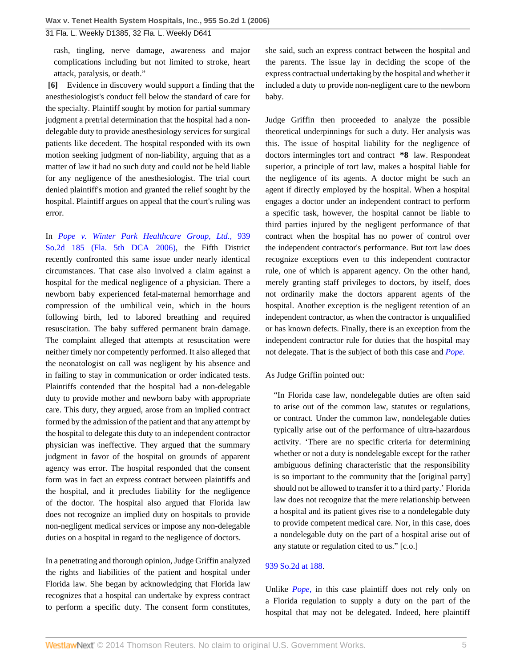rash, tingling, nerve damage, awareness and major complications including but not limited to stroke, heart attack, paralysis, or death."

<span id="page-4-0"></span>**[\[6\]](#page-1-0)** Evidence in discovery would support a finding that the anesthesiologist's conduct fell below the standard of care for the specialty. Plaintiff sought by motion for partial summary judgment a pretrial determination that the hospital had a nondelegable duty to provide anesthesiology services for surgical patients like decedent. The hospital responded with its own motion seeking judgment of non-liability, arguing that as a matter of law it had no such duty and could not be held liable for any negligence of the anesthesiologist. The trial court denied plaintiff's motion and granted the relief sought by the hospital. Plaintiff argues on appeal that the court's ruling was error.

In *[Pope v. Winter Park Healthcare Group, Ltd.,](http://www.westlaw.com/Link/Document/FullText?findType=Y&serNum=2010422631&pubNum=735&originationContext=document&vr=3.0&rs=cblt1.0&transitionType=DocumentItem&contextData=(sc.Default))* 939 [So.2d 185 \(Fla. 5th DCA 2006\)](http://www.westlaw.com/Link/Document/FullText?findType=Y&serNum=2010422631&pubNum=735&originationContext=document&vr=3.0&rs=cblt1.0&transitionType=DocumentItem&contextData=(sc.Default)), the Fifth District recently confronted this same issue under nearly identical circumstances. That case also involved a claim against a hospital for the medical negligence of a physician. There a newborn baby experienced fetal-maternal hemorrhage and compression of the umbilical vein, which in the hours following birth, led to labored breathing and required resuscitation. The baby suffered permanent brain damage. The complaint alleged that attempts at resuscitation were neither timely nor competently performed. It also alleged that the neonatologist on call was negligent by his absence and in failing to stay in communication or order indicated tests. Plaintiffs contended that the hospital had a non-delegable duty to provide mother and newborn baby with appropriate care. This duty, they argued, arose from an implied contract formed by the admission of the patient and that any attempt by the hospital to delegate this duty to an independent contractor physician was ineffective. They argued that the summary judgment in favor of the hospital on grounds of apparent agency was error. The hospital responded that the consent form was in fact an express contract between plaintiffs and the hospital, and it precludes liability for the negligence of the doctor. The hospital also argued that Florida law does not recognize an implied duty on hospitals to provide non-negligent medical services or impose any non-delegable duties on a hospital in regard to the negligence of doctors.

In a penetrating and thorough opinion, Judge Griffin analyzed the rights and liabilities of the patient and hospital under Florida law. She began by acknowledging that Florida law recognizes that a hospital can undertake by express contract to perform a specific duty. The consent form constitutes, she said, such an express contract between the hospital and the parents. The issue lay in deciding the scope of the express contractual undertaking by the hospital and whether it included a duty to provide non-negligent care to the newborn baby.

Judge Griffin then proceeded to analyze the possible theoretical underpinnings for such a duty. Her analysis was this. The issue of hospital liability for the negligence of doctors intermingles tort and contract **\*8** law. Respondeat superior, a principle of tort law, makes a hospital liable for the negligence of its agents. A doctor might be such an agent if directly employed by the hospital. When a hospital engages a doctor under an independent contract to perform a specific task, however, the hospital cannot be liable to third parties injured by the negligent performance of that contract when the hospital has no power of control over the independent contractor's performance. But tort law does recognize exceptions even to this independent contractor rule, one of which is apparent agency. On the other hand, merely granting staff privileges to doctors, by itself, does not ordinarily make the doctors apparent agents of the hospital. Another exception is the negligent retention of an independent contractor, as when the contractor is unqualified or has known defects. Finally, there is an exception from the independent contractor rule for duties that the hospital may not delegate. That is the subject of both this case and *[Pope.](http://www.westlaw.com/Link/Document/FullText?findType=Y&serNum=2010422631&originationContext=document&vr=3.0&rs=cblt1.0&transitionType=DocumentItem&contextData=(sc.Default))*

#### As Judge Griffin pointed out:

"In Florida case law, nondelegable duties are often said to arise out of the common law, statutes or regulations, or contract. Under the common law, nondelegable duties typically arise out of the performance of ultra-hazardous activity. 'There are no specific criteria for determining whether or not a duty is nondelegable except for the rather ambiguous defining characteristic that the responsibility is so important to the community that the [original party] should not be allowed to transfer it to a third party.' Florida law does not recognize that the mere relationship between a hospital and its patient gives rise to a nondelegable duty to provide competent medical care. Nor, in this case, does a nondelegable duty on the part of a hospital arise out of any statute or regulation cited to us." [c.o.]

### [939 So.2d at 188.](http://www.westlaw.com/Link/Document/FullText?findType=Y&serNum=2010422631&pubNum=735&fi=co_pp_sp_735_188&originationContext=document&vr=3.0&rs=cblt1.0&transitionType=DocumentItem&contextData=(sc.Default)#co_pp_sp_735_188)

Unlike *[Pope,](http://www.westlaw.com/Link/Document/FullText?findType=Y&serNum=2010422631&originationContext=document&vr=3.0&rs=cblt1.0&transitionType=DocumentItem&contextData=(sc.Default))* in this case plaintiff does not rely only on a Florida regulation to supply a duty on the part of the hospital that may not be delegated. Indeed, here plaintiff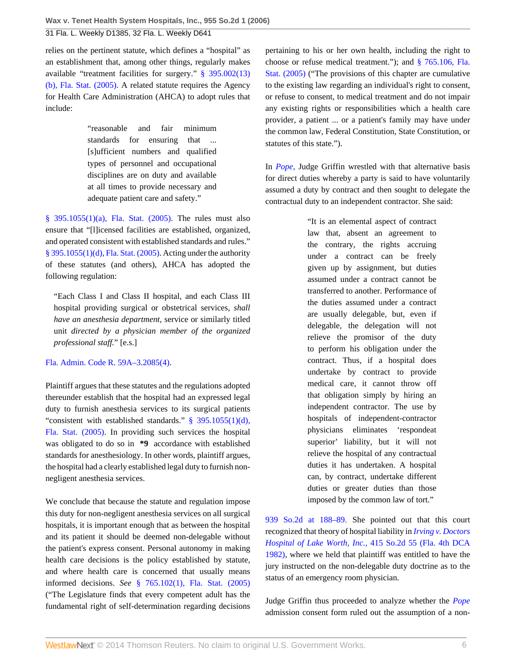relies on the pertinent statute, which defines a "hospital" as an establishment that, among other things, regularly makes available "treatment facilities for surgery." [§ 395.002\(13\)](http://www.westlaw.com/Link/Document/FullText?findType=L&pubNum=1000006&cite=FLSTS395.002&originatingDoc=I4a5d940fe5bc11dab3be92e40de4b42f&refType=SP&originationContext=document&vr=3.0&rs=cblt1.0&transitionType=DocumentItem&contextData=(sc.Default)#co_pp_aac5000007ec7) [\(b\), Fla. Stat. \(2005\)](http://www.westlaw.com/Link/Document/FullText?findType=L&pubNum=1000006&cite=FLSTS395.002&originatingDoc=I4a5d940fe5bc11dab3be92e40de4b42f&refType=SP&originationContext=document&vr=3.0&rs=cblt1.0&transitionType=DocumentItem&contextData=(sc.Default)#co_pp_aac5000007ec7). A related statute requires the Agency for Health Care Administration (AHCA) to adopt rules that include:

> "reasonable and fair minimum standards for ensuring that ... [s]ufficient numbers and qualified types of personnel and occupational disciplines are on duty and available at all times to provide necessary and adequate patient care and safety."

[§ 395.1055\(1\)\(a\), Fla. Stat. \(2005\).](http://www.westlaw.com/Link/Document/FullText?findType=L&pubNum=1000006&cite=FLSTS395.1055&originatingDoc=I4a5d940fe5bc11dab3be92e40de4b42f&refType=SP&originationContext=document&vr=3.0&rs=cblt1.0&transitionType=DocumentItem&contextData=(sc.Default)#co_pp_9f800000f2221) The rules must also ensure that "[l]icensed facilities are established, organized, and operated consistent with established standards and rules." [§ 395.1055\(1\)\(d\), Fla. Stat. \(2005\)](http://www.westlaw.com/Link/Document/FullText?findType=L&pubNum=1000006&cite=FLSTS395.1055&originatingDoc=I4a5d940fe5bc11dab3be92e40de4b42f&refType=SP&originationContext=document&vr=3.0&rs=cblt1.0&transitionType=DocumentItem&contextData=(sc.Default)#co_pp_5743000079cb6). Acting under the authority of these statutes (and others), AHCA has adopted the following regulation:

"Each Class I and Class II hospital, and each Class III hospital providing surgical or obstetrical services, *shall have an anesthesia department,* service or similarly titled unit *directed by a physician member of the organized professional staff.*" [e.s.]

#### [Fla. Admin. Code R. 59A–3.2085\(4\)](http://www.westlaw.com/Link/Document/FullText?findType=L&pubNum=1000742&cite=59FLADC59A-3.2085&originatingDoc=I4a5d940fe5bc11dab3be92e40de4b42f&refType=LQ&originationContext=document&vr=3.0&rs=cblt1.0&transitionType=DocumentItem&contextData=(sc.Default)).

Plaintiff argues that these statutes and the regulations adopted thereunder establish that the hospital had an expressed legal duty to furnish anesthesia services to its surgical patients "consistent with established standards." [§ 395.1055\(1\)\(d\),](http://www.westlaw.com/Link/Document/FullText?findType=L&pubNum=1000006&cite=FLSTS395.1055&originatingDoc=I4a5d940fe5bc11dab3be92e40de4b42f&refType=SP&originationContext=document&vr=3.0&rs=cblt1.0&transitionType=DocumentItem&contextData=(sc.Default)#co_pp_5743000079cb6) [Fla. Stat. \(2005\).](http://www.westlaw.com/Link/Document/FullText?findType=L&pubNum=1000006&cite=FLSTS395.1055&originatingDoc=I4a5d940fe5bc11dab3be92e40de4b42f&refType=SP&originationContext=document&vr=3.0&rs=cblt1.0&transitionType=DocumentItem&contextData=(sc.Default)#co_pp_5743000079cb6) In providing such services the hospital was obligated to do so in **\*9** accordance with established standards for anesthesiology. In other words, plaintiff argues, the hospital had a clearly established legal duty to furnish nonnegligent anesthesia services.

We conclude that because the statute and regulation impose this duty for non-negligent anesthesia services on all surgical hospitals, it is important enough that as between the hospital and its patient it should be deemed non-delegable without the patient's express consent. Personal autonomy in making health care decisions is the policy established by statute, and where health care is concerned that usually means informed decisions. *See* [§ 765.102\(1\), Fla. Stat. \(2005\)](http://www.westlaw.com/Link/Document/FullText?findType=L&pubNum=1000006&cite=FLSTS765.102&originatingDoc=I4a5d940fe5bc11dab3be92e40de4b42f&refType=SP&originationContext=document&vr=3.0&rs=cblt1.0&transitionType=DocumentItem&contextData=(sc.Default)#co_pp_f1c50000821b0) ("The Legislature finds that every competent adult has the fundamental right of self-determination regarding decisions pertaining to his or her own health, including the right to choose or refuse medical treatment."); and [§ 765.106, Fla.](http://www.westlaw.com/Link/Document/FullText?findType=L&pubNum=1000006&cite=FLSTS765.106&originatingDoc=I4a5d940fe5bc11dab3be92e40de4b42f&refType=LQ&originationContext=document&vr=3.0&rs=cblt1.0&transitionType=DocumentItem&contextData=(sc.Default)) [Stat. \(2005\)](http://www.westlaw.com/Link/Document/FullText?findType=L&pubNum=1000006&cite=FLSTS765.106&originatingDoc=I4a5d940fe5bc11dab3be92e40de4b42f&refType=LQ&originationContext=document&vr=3.0&rs=cblt1.0&transitionType=DocumentItem&contextData=(sc.Default)) ("The provisions of this chapter are cumulative to the existing law regarding an individual's right to consent, or refuse to consent, to medical treatment and do not impair any existing rights or responsibilities which a health care provider, a patient ... or a patient's family may have under the common law, Federal Constitution, State Constitution, or statutes of this state.").

In *[Pope,](http://www.westlaw.com/Link/Document/FullText?findType=Y&serNum=2010422631&originationContext=document&vr=3.0&rs=cblt1.0&transitionType=DocumentItem&contextData=(sc.Default))* Judge Griffin wrestled with that alternative basis for direct duties whereby a party is said to have voluntarily assumed a duty by contract and then sought to delegate the contractual duty to an independent contractor. She said:

> "It is an elemental aspect of contract law that, absent an agreement to the contrary, the rights accruing under a contract can be freely given up by assignment, but duties assumed under a contract cannot be transferred to another. Performance of the duties assumed under a contract are usually delegable, but, even if delegable, the delegation will not relieve the promisor of the duty to perform his obligation under the contract. Thus, if a hospital does undertake by contract to provide medical care, it cannot throw off that obligation simply by hiring an independent contractor. The use by hospitals of independent-contractor physicians eliminates 'respondeat superior' liability, but it will not relieve the hospital of any contractual duties it has undertaken. A hospital can, by contract, undertake different duties or greater duties than those imposed by the common law of tort."

[939 So.2d at 188–89.](http://www.westlaw.com/Link/Document/FullText?findType=Y&serNum=2010422631&pubNum=735&fi=co_pp_sp_735_188&originationContext=document&vr=3.0&rs=cblt1.0&transitionType=DocumentItem&contextData=(sc.Default)#co_pp_sp_735_188) She pointed out that this court recognized that theory of hospital liability in *[Irving v. Doctors](http://www.westlaw.com/Link/Document/FullText?findType=Y&serNum=1982124844&pubNum=735&originationContext=document&vr=3.0&rs=cblt1.0&transitionType=DocumentItem&contextData=(sc.Default)) Hospital of Lake Worth, Inc.,* [415 So.2d 55 \(Fla. 4th DCA](http://www.westlaw.com/Link/Document/FullText?findType=Y&serNum=1982124844&pubNum=735&originationContext=document&vr=3.0&rs=cblt1.0&transitionType=DocumentItem&contextData=(sc.Default)) [1982\)](http://www.westlaw.com/Link/Document/FullText?findType=Y&serNum=1982124844&pubNum=735&originationContext=document&vr=3.0&rs=cblt1.0&transitionType=DocumentItem&contextData=(sc.Default)), where we held that plaintiff was entitled to have the jury instructed on the non-delegable duty doctrine as to the status of an emergency room physician.

Judge Griffin thus proceeded to analyze whether the *[Pope](http://www.westlaw.com/Link/Document/FullText?findType=Y&serNum=2010422631&originationContext=document&vr=3.0&rs=cblt1.0&transitionType=DocumentItem&contextData=(sc.Default))* admission consent form ruled out the assumption of a non-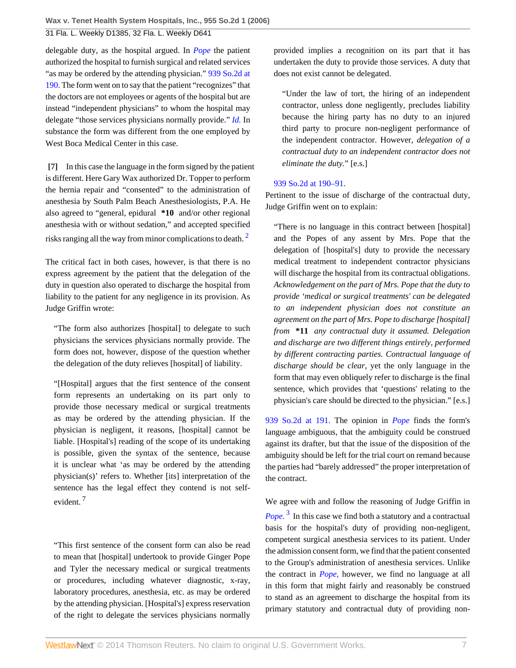delegable duty, as the hospital argued. In *[Pope](http://www.westlaw.com/Link/Document/FullText?findType=Y&serNum=2010422631&originationContext=document&vr=3.0&rs=cblt1.0&transitionType=DocumentItem&contextData=(sc.Default))* the patient authorized the hospital to furnish surgical and related services "as may be ordered by the attending physician." [939 So.2d at](http://www.westlaw.com/Link/Document/FullText?findType=Y&serNum=2010422631&pubNum=735&fi=co_pp_sp_735_190&originationContext=document&vr=3.0&rs=cblt1.0&transitionType=DocumentItem&contextData=(sc.Default)#co_pp_sp_735_190) [190.](http://www.westlaw.com/Link/Document/FullText?findType=Y&serNum=2010422631&pubNum=735&fi=co_pp_sp_735_190&originationContext=document&vr=3.0&rs=cblt1.0&transitionType=DocumentItem&contextData=(sc.Default)#co_pp_sp_735_190) The form went on to say that the patient "recognizes" that the doctors are not employees or agents of the hospital but are instead "independent physicians" to whom the hospital may delegate "those services physicians normally provide." *[Id.](http://www.westlaw.com/Link/Document/FullText?findType=Y&serNum=2010422631&originationContext=document&vr=3.0&rs=cblt1.0&transitionType=DocumentItem&contextData=(sc.Default))* In substance the form was different from the one employed by West Boca Medical Center in this case.

<span id="page-6-0"></span>**[\[7\]](#page-1-2)** In this case the language in the form signed by the patient is different. Here Gary Wax authorized Dr. Topper to perform the hernia repair and "consented" to the administration of anesthesia by South Palm Beach Anesthesiologists, P.A. He also agreed to "general, epidural **\*10** and/or other regional anesthesia with or without sedation," and accepted specified risks ranging all the way from minor complications to death.<sup>[2](#page-8-0)</sup>

The critical fact in both cases, however, is that there is no express agreement by the patient that the delegation of the duty in question also operated to discharge the hospital from liability to the patient for any negligence in its provision. As Judge Griffin wrote:

"The form also authorizes [hospital] to delegate to such physicians the services physicians normally provide. The form does not, however, dispose of the question whether the delegation of the duty relieves [hospital] of liability.

"[Hospital] argues that the first sentence of the consent form represents an undertaking on its part only to provide those necessary medical or surgical treatments as may be ordered by the attending physician. If the physician is negligent, it reasons, [hospital] cannot be liable. [Hospital's] reading of the scope of its undertaking is possible, given the syntax of the sentence, because it is unclear what 'as may be ordered by the attending physician(s)' refers to. Whether [its] interpretation of the sentence has the legal effect they contend is not selfevident. <sup>7</sup>

"This first sentence of the consent form can also be read to mean that [hospital] undertook to provide Ginger Pope and Tyler the necessary medical or surgical treatments or procedures, including whatever diagnostic, x-ray, laboratory procedures, anesthesia, etc. as may be ordered by the attending physician. [Hospital's] express reservation of the right to delegate the services physicians normally

provided implies a recognition on its part that it has undertaken the duty to provide those services. A duty that does not exist cannot be delegated.

"Under the law of tort, the hiring of an independent contractor, unless done negligently, precludes liability because the hiring party has no duty to an injured third party to procure non-negligent performance of the independent contractor. However, *delegation of a contractual duty to an independent contractor does not eliminate the duty.*" [e.s.]

# [939 So.2d at 190–91.](http://www.westlaw.com/Link/Document/FullText?findType=Y&serNum=2010422631&pubNum=735&fi=co_pp_sp_735_190&originationContext=document&vr=3.0&rs=cblt1.0&transitionType=DocumentItem&contextData=(sc.Default)#co_pp_sp_735_190)

Pertinent to the issue of discharge of the contractual duty, Judge Griffin went on to explain:

<span id="page-6-1"></span>"There is no language in this contract between [hospital] and the Popes of any assent by Mrs. Pope that the delegation of [hospital's] duty to provide the necessary medical treatment to independent contractor physicians will discharge the hospital from its contractual obligations. *Acknowledgement on the part of Mrs. Pope that the duty to provide 'medical or surgical treatments' can be delegated to an independent physician does not constitute an agreement on the part of Mrs. Pope to discharge [hospital] from* **\*11** *any contractual duty it assumed. Delegation and discharge are two different things entirely, performed by different contracting parties. Contractual language of discharge should be clear,* yet the only language in the form that may even obliquely refer to discharge is the final sentence, which provides that 'questions' relating to the physician's care should be directed to the physician." [e.s.]

[939 So.2d at 191.](http://www.westlaw.com/Link/Document/FullText?findType=Y&serNum=2010422631&pubNum=735&fi=co_pp_sp_735_191&originationContext=document&vr=3.0&rs=cblt1.0&transitionType=DocumentItem&contextData=(sc.Default)#co_pp_sp_735_191) The opinion in *[Pope](http://www.westlaw.com/Link/Document/FullText?findType=Y&serNum=2010422631&originationContext=document&vr=3.0&rs=cblt1.0&transitionType=DocumentItem&contextData=(sc.Default))* finds the form's language ambiguous, that the ambiguity could be construed against its drafter, but that the issue of the disposition of the ambiguity should be left for the trial court on remand because the parties had "barely addressed" the proper interpretation of the contract.

<span id="page-6-2"></span>We agree with and follow the reasoning of Judge Griffin in *[Pope.](http://www.westlaw.com/Link/Document/FullText?findType=Y&serNum=2010422631&originationContext=document&vr=3.0&rs=cblt1.0&transitionType=DocumentItem&contextData=(sc.Default))* [3](#page-8-1) In this case we find both a statutory and a contractual basis for the hospital's duty of providing non-negligent, competent surgical anesthesia services to its patient. Under the admission consent form, we find that the patient consented to the Group's administration of anesthesia services. Unlike the contract in *[Pope,](http://www.westlaw.com/Link/Document/FullText?findType=Y&serNum=2010422631&originationContext=document&vr=3.0&rs=cblt1.0&transitionType=DocumentItem&contextData=(sc.Default))* however, we find no language at all in this form that might fairly and reasonably be construed to stand as an agreement to discharge the hospital from its primary statutory and contractual duty of providing non-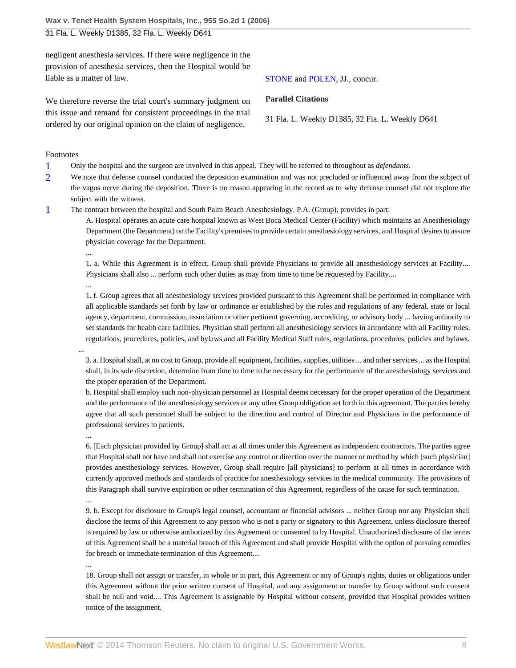negligent anesthesia services. If there were negligence in the provision of anesthesia services, then the Hospital would be liable as a matter of law.

We therefore reverse the trial court's summary judgment on this issue and remand for consistent proceedings in the trial ordered by our original opinion on the claim of negligence.

#### Footnotes

- <span id="page-7-0"></span>[1](#page-2-4) Only the hospital and the surgeon are involved in this appeal. They will be referred to throughout as *defendants.*
- <span id="page-7-1"></span>[2](#page-2-5) We note that defense counsel conducted the deposition examination and was not precluded or influenced away from the subject of the vagus nerve during the deposition. There is no reason appearing in the record as to why defense counsel did not explore the subject with the witness.
- <span id="page-7-2"></span>[1](#page-3-1) The contract between the hospital and South Palm Beach Anesthesiology, P.A. (Group), provides in part:
	- A. Hospital operates an acute care hospital known as West Boca Medical Center (Facility) which maintains an Anesthesiology Department (the Department) on the Facility's premises to provide certain anesthesiology services, and Hospital desires to assure physician coverage for the Department.

1. a. While this Agreement is in effect, Group shall provide Physicians to provide all anesthesiology services at Facility.... Physicians shall also ... perform such other duties as may from time to time be requested by Facility....

1. f. Group agrees that all anesthesiology services provided pursuant to this Agreement shall be performed in compliance with all applicable standards set forth by law or ordinance or established by the rules and regulations of any federal, state or local agency, department, commission, association or other pertinent governing, accrediting, or advisory body ... having authority to set standards for health care facilities. Physician shall perform all anesthesiology services in accordance with all Facility rules, regulations, procedures, policies, and bylaws and all Facility Medical Staff rules, regulations, procedures, policies and bylaws.

3. a. Hospital shall, at no cost to Group, provide all equipment, facilities, supplies, utilities ... and other services ... as the Hospital shall, in its sole discretion, determine from time to time to be necessary for the performance of the anesthesiology services and the proper operation of the Department.

b. Hospital shall employ such non-physician personnel as Hospital deems necessary for the proper operation of the Department and the performance of the anesthesiology services or any other Group obligation set forth in this agreement. The parties hereby agree that all such personnel shall be subject to the direction and control of Director and Physicians in the performance of professional services to patients.

...

...

...

...

...

6. [Each physician provided by Group] shall act at all times under this Agreement as independent contractors. The parties agree that Hospital shall not have and shall not exercise any control or direction over the manner or method by which [such physician] provides anesthesiology services. However, Group shall require [all physicians] to perform at all times in accordance with currently approved methods and standards of practice for anesthesiology services in the medical community. The provisions of this Paragraph shall survive expiration or other termination of this Agreement, regardless of the cause for such termination. ...

9. b. Except for disclosure to Group's legal counsel, accountant or financial advisors ... neither Group nor any Physician shall disclose the terms of this Agreement to any person who is not a party or signatory to this Agreement, unless disclosure thereof is required by law or otherwise authorized by this Agreement or consented to by Hospital. Unauthorized disclosure of the terms of this Agreement shall be a material breach of this Agreement and shall provide Hospital with the option of pursuing remedies for breach or immediate termination of this Agreement....

18. Group shall not assign or transfer, in whole or in part, this Agreement or any of Group's rights, duties or obligations under this Agreement without the prior written consent of Hospital, and any assignment or transfer by Group without such consent shall be null and void.... This Agreement is assignable by Hospital without consent, provided that Hospital provides written notice of the assignment.

[STONE](http://www.westlaw.com/Link/Document/FullText?findType=h&pubNum=176284&cite=0459177201&originatingDoc=I4a5d940fe5bc11dab3be92e40de4b42f&refType=RQ&originationContext=document&vr=3.0&rs=cblt1.0&transitionType=DocumentItem&contextData=(sc.Default)) and [POLEN,](http://www.westlaw.com/Link/Document/FullText?findType=h&pubNum=176284&cite=0459225101&originatingDoc=I4a5d940fe5bc11dab3be92e40de4b42f&refType=RQ&originationContext=document&vr=3.0&rs=cblt1.0&transitionType=DocumentItem&contextData=(sc.Default)) JJ., concur.

### **Parallel Citations**

31 Fla. L. Weekly D1385, 32 Fla. L. Weekly D641